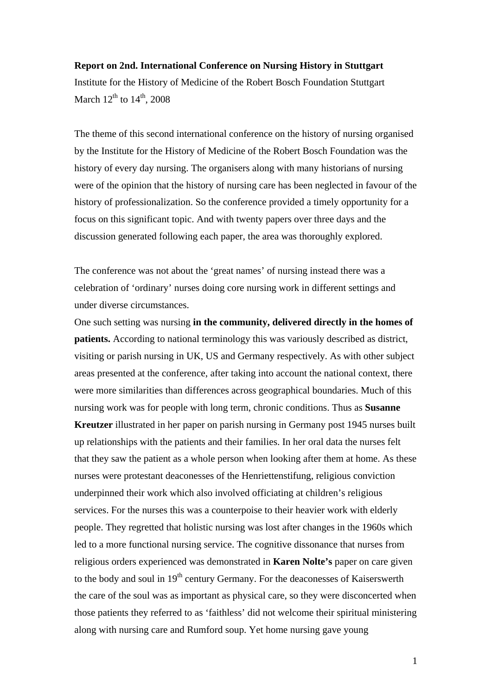#### **Report on 2nd. International Conference on Nursing History in Stuttgart**

Institute for the History of Medicine of the Robert Bosch Foundation Stuttgart March  $12^{th}$  to  $14^{th}$ , 2008

The theme of this second international conference on the history of nursing organised by the Institute for the History of Medicine of the Robert Bosch Foundation was the history of every day nursing. The organisers along with many historians of nursing were of the opinion that the history of nursing care has been neglected in favour of the history of professionalization. So the conference provided a timely opportunity for a focus on this significant topic. And with twenty papers over three days and the discussion generated following each paper, the area was thoroughly explored.

The conference was not about the 'great names' of nursing instead there was a celebration of 'ordinary' nurses doing core nursing work in different settings and under diverse circumstances.

One such setting was nursing **in the community, delivered directly in the homes of patients.** According to national terminology this was variously described as district, visiting or parish nursing in UK, US and Germany respectively. As with other subject areas presented at the conference, after taking into account the national context, there were more similarities than differences across geographical boundaries. Much of this nursing work was for people with long term, chronic conditions. Thus as **Susanne Kreutzer** illustrated in her paper on parish nursing in Germany post 1945 nurses built up relationships with the patients and their families. In her oral data the nurses felt that they saw the patient as a whole person when looking after them at home. As these nurses were protestant deaconesses of the Henriettenstifung, religious conviction underpinned their work which also involved officiating at children's religious services. For the nurses this was a counterpoise to their heavier work with elderly people. They regretted that holistic nursing was lost after changes in the 1960s which led to a more functional nursing service. The cognitive dissonance that nurses from religious orders experienced was demonstrated in **Karen Nolte's** paper on care given to the body and soul in  $19<sup>th</sup>$  century Germany. For the deaconesses of Kaiserswerth the care of the soul was as important as physical care, so they were disconcerted when those patients they referred to as 'faithless' did not welcome their spiritual ministering along with nursing care and Rumford soup. Yet home nursing gave young

1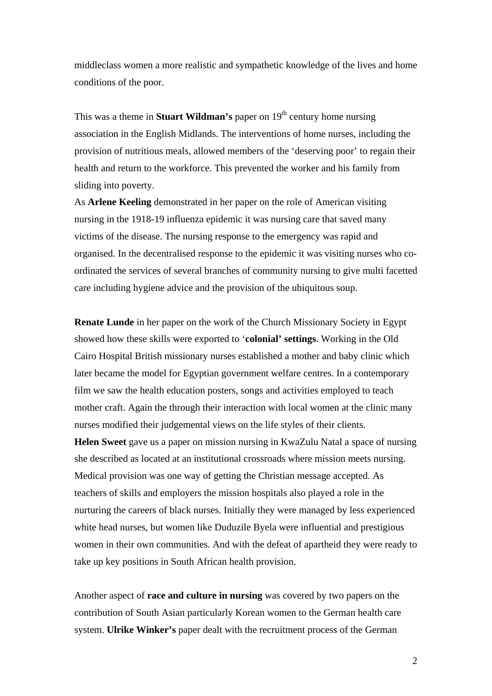middleclass women a more realistic and sympathetic knowledge of the lives and home conditions of the poor.

This was a theme in **Stuart Wildman's** paper on  $19<sup>th</sup>$  century home nursing association in the English Midlands. The interventions of home nurses, including the provision of nutritious meals, allowed members of the 'deserving poor' to regain their health and return to the workforce. This prevented the worker and his family from sliding into poverty.

As **Arlene Keeling** demonstrated in her paper on the role of American visiting nursing in the 1918-19 influenza epidemic it was nursing care that saved many victims of the disease. The nursing response to the emergency was rapid and organised. In the decentralised response to the epidemic it was visiting nurses who coordinated the services of several branches of community nursing to give multi facetted care including hygiene advice and the provision of the ubiquitous soup.

**Renate Lunde** in her paper on the work of the Church Missionary Society in Egypt showed how these skills were exported to '**colonial' settings**. Working in the Old Cairo Hospital British missionary nurses established a mother and baby clinic which later became the model for Egyptian government welfare centres. In a contemporary film we saw the health education posters, songs and activities employed to teach mother craft. Again the through their interaction with local women at the clinic many nurses modified their judgemental views on the life styles of their clients.

**Helen Sweet** gave us a paper on mission nursing in KwaZulu Natal a space of nursing she described as located at an institutional crossroads where mission meets nursing. Medical provision was one way of getting the Christian message accepted. As teachers of skills and employers the mission hospitals also played a role in the nurturing the careers of black nurses. Initially they were managed by less experienced white head nurses, but women like Duduzile Byela were influential and prestigious women in their own communities. And with the defeat of apartheid they were ready to take up key positions in South African health provision.

Another aspect of **race and culture in nursing** was covered by two papers on the contribution of South Asian particularly Korean women to the German health care system. **Ulrike Winker's** paper dealt with the recruitment process of the German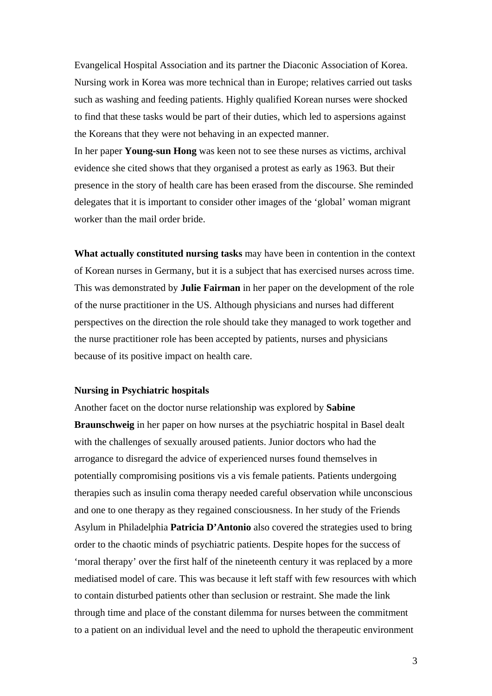Evangelical Hospital Association and its partner the Diaconic Association of Korea. Nursing work in Korea was more technical than in Europe; relatives carried out tasks such as washing and feeding patients. Highly qualified Korean nurses were shocked to find that these tasks would be part of their duties, which led to aspersions against the Koreans that they were not behaving in an expected manner.

In her paper **Young-sun Hong** was keen not to see these nurses as victims, archival evidence she cited shows that they organised a protest as early as 1963. But their presence in the story of health care has been erased from the discourse. She reminded delegates that it is important to consider other images of the 'global' woman migrant worker than the mail order bride.

**What actually constituted nursing tasks** may have been in contention in the context of Korean nurses in Germany, but it is a subject that has exercised nurses across time. This was demonstrated by **Julie Fairman** in her paper on the development of the role of the nurse practitioner in the US. Although physicians and nurses had different perspectives on the direction the role should take they managed to work together and the nurse practitioner role has been accepted by patients, nurses and physicians because of its positive impact on health care.

### **Nursing in Psychiatric hospitals**

Another facet on the doctor nurse relationship was explored by **Sabine Braunschweig** in her paper on how nurses at the psychiatric hospital in Basel dealt with the challenges of sexually aroused patients. Junior doctors who had the arrogance to disregard the advice of experienced nurses found themselves in potentially compromising positions vis a vis female patients. Patients undergoing therapies such as insulin coma therapy needed careful observation while unconscious and one to one therapy as they regained consciousness. In her study of the Friends Asylum in Philadelphia **Patricia D'Antonio** also covered the strategies used to bring order to the chaotic minds of psychiatric patients. Despite hopes for the success of 'moral therapy' over the first half of the nineteenth century it was replaced by a more mediatised model of care. This was because it left staff with few resources with which to contain disturbed patients other than seclusion or restraint. She made the link through time and place of the constant dilemma for nurses between the commitment to a patient on an individual level and the need to uphold the therapeutic environment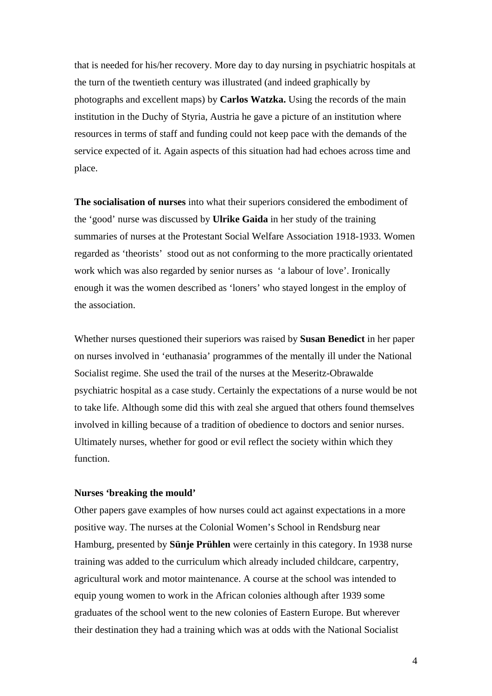that is needed for his/her recovery. More day to day nursing in psychiatric hospitals at the turn of the twentieth century was illustrated (and indeed graphically by photographs and excellent maps) by **Carlos Watzka.** Using the records of the main institution in the Duchy of Styria, Austria he gave a picture of an institution where resources in terms of staff and funding could not keep pace with the demands of the service expected of it. Again aspects of this situation had had echoes across time and place.

**The socialisation of nurses** into what their superiors considered the embodiment of the 'good' nurse was discussed by **Ulrike Gaida** in her study of the training summaries of nurses at the Protestant Social Welfare Association 1918-1933. Women regarded as 'theorists' stood out as not conforming to the more practically orientated work which was also regarded by senior nurses as 'a labour of love'. Ironically enough it was the women described as 'loners' who stayed longest in the employ of the association.

Whether nurses questioned their superiors was raised by **Susan Benedict** in her paper on nurses involved in 'euthanasia' programmes of the mentally ill under the National Socialist regime. She used the trail of the nurses at the Meseritz-Obrawalde psychiatric hospital as a case study. Certainly the expectations of a nurse would be not to take life. Although some did this with zeal she argued that others found themselves involved in killing because of a tradition of obedience to doctors and senior nurses. Ultimately nurses, whether for good or evil reflect the society within which they function.

### **Nurses 'breaking the mould'**

Other papers gave examples of how nurses could act against expectations in a more positive way. The nurses at the Colonial Women's School in Rendsburg near Hamburg, presented by **Sünje Prühlen** were certainly in this category. In 1938 nurse training was added to the curriculum which already included childcare, carpentry, agricultural work and motor maintenance. A course at the school was intended to equip young women to work in the African colonies although after 1939 some graduates of the school went to the new colonies of Eastern Europe. But wherever their destination they had a training which was at odds with the National Socialist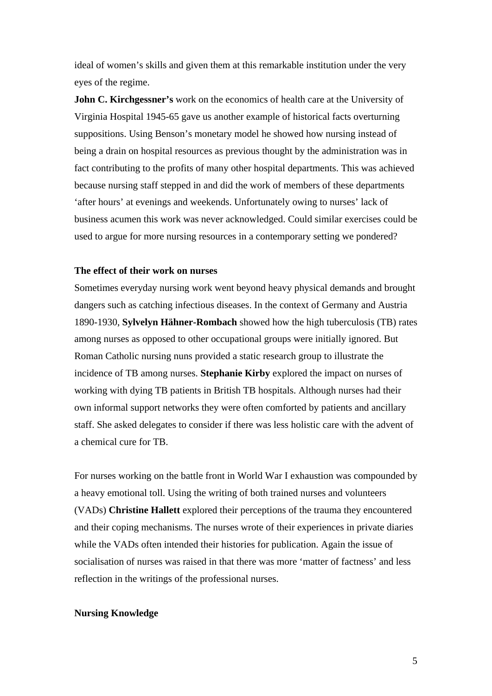ideal of women's skills and given them at this remarkable institution under the very eyes of the regime.

**John C. Kirchgessner's** work on the economics of health care at the University of Virginia Hospital 1945-65 gave us another example of historical facts overturning suppositions. Using Benson's monetary model he showed how nursing instead of being a drain on hospital resources as previous thought by the administration was in fact contributing to the profits of many other hospital departments. This was achieved because nursing staff stepped in and did the work of members of these departments 'after hours' at evenings and weekends. Unfortunately owing to nurses' lack of business acumen this work was never acknowledged. Could similar exercises could be used to argue for more nursing resources in a contemporary setting we pondered?

# **The effect of their work on nurses**

Sometimes everyday nursing work went beyond heavy physical demands and brought dangers such as catching infectious diseases. In the context of Germany and Austria 1890-1930, **Sylvelyn Hähner-Rombach** showed how the high tuberculosis (TB) rates among nurses as opposed to other occupational groups were initially ignored. But Roman Catholic nursing nuns provided a static research group to illustrate the incidence of TB among nurses. **Stephanie Kirby** explored the impact on nurses of working with dying TB patients in British TB hospitals. Although nurses had their own informal support networks they were often comforted by patients and ancillary staff. She asked delegates to consider if there was less holistic care with the advent of a chemical cure for TB.

For nurses working on the battle front in World War I exhaustion was compounded by a heavy emotional toll. Using the writing of both trained nurses and volunteers (VADs) **Christine Hallett** explored their perceptions of the trauma they encountered and their coping mechanisms. The nurses wrote of their experiences in private diaries while the VADs often intended their histories for publication. Again the issue of socialisation of nurses was raised in that there was more 'matter of factness' and less reflection in the writings of the professional nurses.

## **Nursing Knowledge**